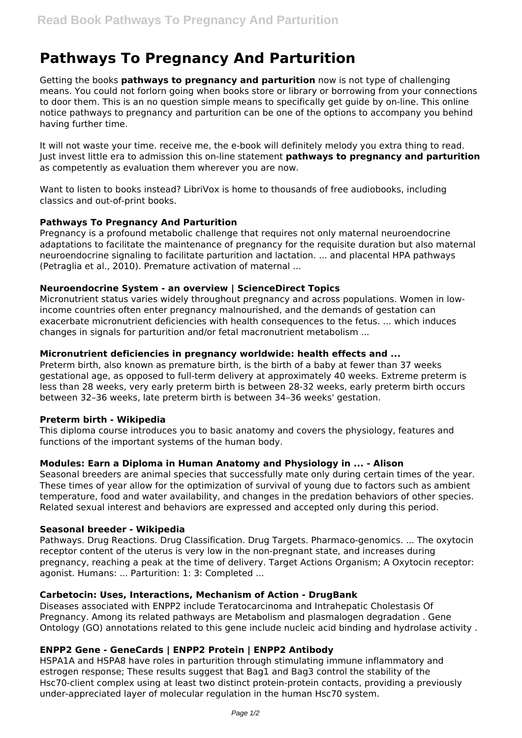# **Pathways To Pregnancy And Parturition**

Getting the books **pathways to pregnancy and parturition** now is not type of challenging means. You could not forlorn going when books store or library or borrowing from your connections to door them. This is an no question simple means to specifically get guide by on-line. This online notice pathways to pregnancy and parturition can be one of the options to accompany you behind having further time.

It will not waste your time. receive me, the e-book will definitely melody you extra thing to read. Just invest little era to admission this on-line statement **pathways to pregnancy and parturition** as competently as evaluation them wherever you are now.

Want to listen to books instead? LibriVox is home to thousands of free audiobooks, including classics and out-of-print books.

### **Pathways To Pregnancy And Parturition**

Pregnancy is a profound metabolic challenge that requires not only maternal neuroendocrine adaptations to facilitate the maintenance of pregnancy for the requisite duration but also maternal neuroendocrine signaling to facilitate parturition and lactation. ... and placental HPA pathways (Petraglia et al., 2010). Premature activation of maternal ...

### **Neuroendocrine System - an overview | ScienceDirect Topics**

Micronutrient status varies widely throughout pregnancy and across populations. Women in lowincome countries often enter pregnancy malnourished, and the demands of gestation can exacerbate micronutrient deficiencies with health consequences to the fetus. ... which induces changes in signals for parturition and/or fetal macronutrient metabolism ...

### **Micronutrient deficiencies in pregnancy worldwide: health effects and ...**

Preterm birth, also known as premature birth, is the birth of a baby at fewer than 37 weeks gestational age, as opposed to full-term delivery at approximately 40 weeks. Extreme preterm is less than 28 weeks, very early preterm birth is between 28-32 weeks, early preterm birth occurs between 32–36 weeks, late preterm birth is between 34–36 weeks' gestation.

### **Preterm birth - Wikipedia**

This diploma course introduces you to basic anatomy and covers the physiology, features and functions of the important systems of the human body.

# **Modules: Earn a Diploma in Human Anatomy and Physiology in ... - Alison**

Seasonal breeders are animal species that successfully mate only during certain times of the year. These times of year allow for the optimization of survival of young due to factors such as ambient temperature, food and water availability, and changes in the predation behaviors of other species. Related sexual interest and behaviors are expressed and accepted only during this period.

### **Seasonal breeder - Wikipedia**

Pathways. Drug Reactions. Drug Classification. Drug Targets. Pharmaco-genomics. ... The oxytocin receptor content of the uterus is very low in the non-pregnant state, and increases during pregnancy, reaching a peak at the time of delivery. Target Actions Organism; A Oxytocin receptor: agonist. Humans: ... Parturition: 1: 3: Completed ...

### **Carbetocin: Uses, Interactions, Mechanism of Action - DrugBank**

Diseases associated with ENPP2 include Teratocarcinoma and Intrahepatic Cholestasis Of Pregnancy. Among its related pathways are Metabolism and plasmalogen degradation . Gene Ontology (GO) annotations related to this gene include nucleic acid binding and hydrolase activity .

# **ENPP2 Gene - GeneCards | ENPP2 Protein | ENPP2 Antibody**

HSPA1A and HSPA8 have roles in parturition through stimulating immune inflammatory and estrogen response; These results suggest that Bag1 and Bag3 control the stability of the Hsc70-client complex using at least two distinct protein-protein contacts, providing a previously under-appreciated layer of molecular regulation in the human Hsc70 system.